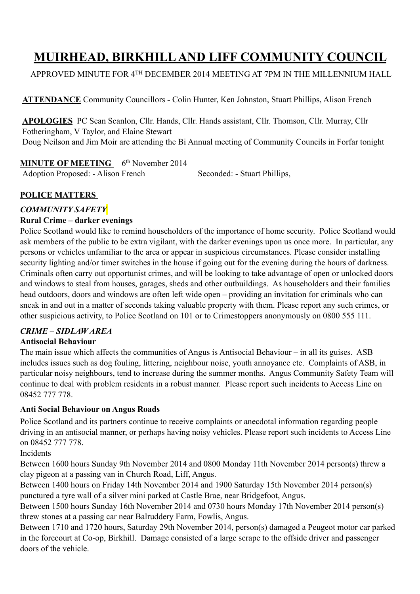# **MUIRHEAD, BIRKHILL AND LIFF COMMUNITY COUNCIL**

APPROVED MINUTE FOR 4TH DECEMBER 2014 MEETING AT 7PM IN THE MILLENNIUM HALL

**ATTENDANCE** Community Councillors **-** Colin Hunter, Ken Johnston, Stuart Phillips, Alison French

**APOLOGIES** PC Sean Scanlon, Cllr. Hands, Cllr. Hands assistant, Cllr. Thomson, Cllr. Murray, Cllr Fotheringham, V Taylor, and Elaine Stewart Doug Neilson and Jim Moir are attending the Bi Annual meeting of Community Councils in Forfar tonight

# **MINUTE OF MEETING** 6<sup>th</sup> November 2014

Adoption Proposed: - Alison French Seconded: - Stuart Phillips,

# **POLICE MATTERS**

# *COMMUNITY SAFETY*

## **Rural Crime – darker evenings**

Police Scotland would like to remind householders of the importance of home security. Police Scotland would ask members of the public to be extra vigilant, with the darker evenings upon us once more. In particular, any persons or vehicles unfamiliar to the area or appear in suspicious circumstances. Please consider installing security lighting and/or timer switches in the house if going out for the evening during the hours of darkness. Criminals often carry out opportunist crimes, and will be looking to take advantage of open or unlocked doors and windows to steal from houses, garages, sheds and other outbuildings. As householders and their families head outdoors, doors and windows are often left wide open – providing an invitation for criminals who can sneak in and out in a matter of seconds taking valuable property with them. Please report any such crimes, or other suspicious activity, to Police Scotland on 101 or to Crimestoppers anonymously on 0800 555 111.

# *CRIME – SIDLAW AREA*

# **Antisocial Behaviour**

The main issue which affects the communities of Angus is Antisocial Behaviour – in all its guises. ASB includes issues such as dog fouling, littering, neighbour noise, youth annoyance etc. Complaints of ASB, in particular noisy neighbours, tend to increase during the summer months. Angus Community Safety Team will continue to deal with problem residents in a robust manner. Please report such incidents to Access Line on 08452 777 778.

## **Anti Social Behaviour on Angus Roads**

Police Scotland and its partners continue to receive complaints or anecdotal information regarding people driving in an antisocial manner, or perhaps having noisy vehicles. Please report such incidents to Access Line on 08452 777 778.

Incidents

Between 1600 hours Sunday 9th November 2014 and 0800 Monday 11th November 2014 person(s) threw a clay pigeon at a passing van in Church Road, Liff, Angus.

Between 1400 hours on Friday 14th November 2014 and 1900 Saturday 15th November 2014 person(s) punctured a tyre wall of a silver mini parked at Castle Brae, near Bridgefoot, Angus.

Between 1500 hours Sunday 16th November 2014 and 0730 hours Monday 17th November 2014 person(s) threw stones at a passing car near Balruddery Farm, Fowlis, Angus.

Between 1710 and 1720 hours, Saturday 29th November 2014, person(s) damaged a Peugeot motor car parked in the forecourt at Co-op, Birkhill. Damage consisted of a large scrape to the offside driver and passenger doors of the vehicle.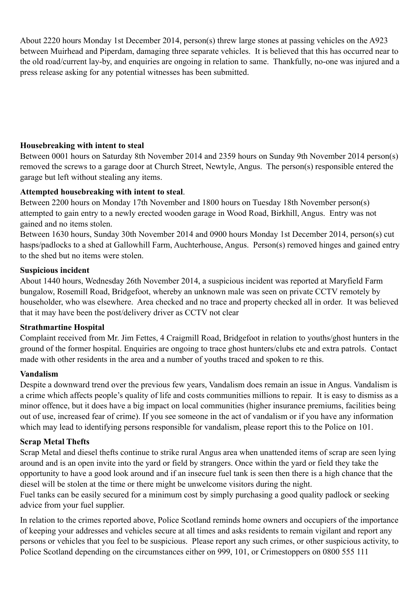About 2220 hours Monday 1st December 2014, person(s) threw large stones at passing vehicles on the A923 between Muirhead and Piperdam, damaging three separate vehicles. It is believed that this has occurred near to the old road/current lay-by, and enquiries are ongoing in relation to same. Thankfully, no-one was injured and a press release asking for any potential witnesses has been submitted.

## **Housebreaking with intent to steal**

Between 0001 hours on Saturday 8th November 2014 and 2359 hours on Sunday 9th November 2014 person(s) removed the screws to a garage door at Church Street, Newtyle, Angus. The person(s) responsible entered the garage but left without stealing any items.

#### **Attempted housebreaking with intent to steal**.

Between 2200 hours on Monday 17th November and 1800 hours on Tuesday 18th November person(s) attempted to gain entry to a newly erected wooden garage in Wood Road, Birkhill, Angus. Entry was not gained and no items stolen.

Between 1630 hours, Sunday 30th November 2014 and 0900 hours Monday 1st December 2014, person(s) cut hasps/padlocks to a shed at Gallowhill Farm, Auchterhouse, Angus. Person(s) removed hinges and gained entry to the shed but no items were stolen.

#### **Suspicious incident**

About 1440 hours, Wednesday 26th November 2014, a suspicious incident was reported at Maryfield Farm bungalow, Rosemill Road, Bridgefoot, whereby an unknown male was seen on private CCTV remotely by householder, who was elsewhere. Area checked and no trace and property checked all in order. It was believed that it may have been the post/delivery driver as CCTV not clear

#### **Strathmartine Hospital**

Complaint received from Mr. Jim Fettes, 4 Craigmill Road, Bridgefoot in relation to youths/ghost hunters in the ground of the former hospital. Enquiries are ongoing to trace ghost hunters/clubs etc and extra patrols. Contact made with other residents in the area and a number of youths traced and spoken to re this.

#### **Vandalism**

Despite a downward trend over the previous few years, Vandalism does remain an issue in Angus. Vandalism is a crime which affects people's quality of life and costs communities millions to repair. It is easy to dismiss as a minor offence, but it does have a big impact on local communities (higher insurance premiums, facilities being out of use, increased fear of crime). If you see someone in the act of vandalism or if you have any information which may lead to identifying persons responsible for vandalism, please report this to the Police on 101.

#### **Scrap Metal Thefts**

Scrap Metal and diesel thefts continue to strike rural Angus area when unattended items of scrap are seen lying around and is an open invite into the yard or field by strangers. Once within the yard or field they take the opportunity to have a good look around and if an insecure fuel tank is seen then there is a high chance that the diesel will be stolen at the time or there might be unwelcome visitors during the night.

Fuel tanks can be easily secured for a minimum cost by simply purchasing a good quality padlock or seeking advice from your fuel supplier.

In relation to the crimes reported above, Police Scotland reminds home owners and occupiers of the importance of keeping your addresses and vehicles secure at all times and asks residents to remain vigilant and report any persons or vehicles that you feel to be suspicious. Please report any such crimes, or other suspicious activity, to Police Scotland depending on the circumstances either on 999, 101, or Crimestoppers on 0800 555 111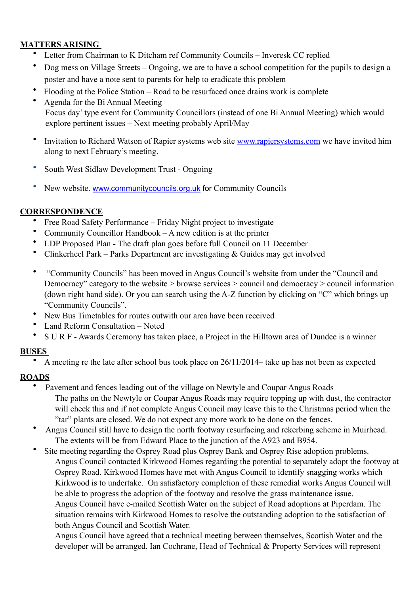## **MATTERS ARISING**

- Letter from Chairman to K Ditcham ref Community Councils Inveresk CC replied
- Dog mess on Village Streets Ongoing, we are to have a school competition for the pupils to design a poster and have a note sent to parents for help to eradicate this problem
- Flooding at the Police Station Road to be resurfaced once drains work is complete
- Agenda for the Bi Annual Meeting Focus day' type event for Community Councillors (instead of one Bi Annual Meeting) which would explore pertinent issues – Next meeting probably April/May
- Invitation to Richard Watson of Rapier systems web site [www.rapiersystems.com](http://www.rapiersystems.com) we have invited him along to next February's meeting.
- South West Sidlaw Development Trust Ongoing
- New website. [www.communitycouncils.org.uk](http://www.communitycouncils.org.uk) for Community Councils

## **CORRESPONDENCE**

- Free Road Safety Performance Friday Night project to investigate
- Community Councillor Handbook A new edition is at the printer
- LDP Proposed Plan The draft plan goes before full Council on 11 December
- Clinkerheel Park Parks Department are investigating & Guides may get involved
- "Community Councils" has been moved in Angus Council's website from under the "Council and Democracy" category to the website > browse services > council and democracy > council information (down right hand side). Or you can search using the A-Z function by clicking on "C" which brings up "Community Councils".
- New Bus Timetables for routes outwith our area have been received
- Land Reform Consultation Noted
- S U R F Awards Ceremony has taken place, a Project in the Hilltown area of Dundee is a winner

# **BUSES**

• A meeting re the late after school bus took place on 26/11/2014– take up has not been as expected

# **ROADS**

- Pavement and fences leading out of the village on Newtyle and Coupar Angus Roads The paths on the Newtyle or Coupar Angus Roads may require topping up with dust, the contractor will check this and if not complete Angus Council may leave this to the Christmas period when the "tar" plants are closed. We do not expect any more work to be done on the fences.
- Angus Council still have to design the north footway resurfacing and rekerbing scheme in Muirhead. The extents will be from Edward Place to the junction of the A923 and B954.
- Site meeting regarding the Osprey Road plus Osprey Bank and Osprey Rise adoption problems. Angus Council contacted Kirkwood Homes regarding the potential to separately adopt the footway at Osprey Road. Kirkwood Homes have met with Angus Council to identify snagging works which Kirkwood is to undertake. On satisfactory completion of these remedial works Angus Council will be able to progress the adoption of the footway and resolve the grass maintenance issue. Angus Council have e-mailed Scottish Water on the subject of Road adoptions at Piperdam. The situation remains with Kirkwood Homes to resolve the outstanding adoption to the satisfaction of both Angus Council and Scottish Water.

Angus Council have agreed that a technical meeting between themselves, Scottish Water and the developer will be arranged. Ian Cochrane, Head of Technical & Property Services will represent